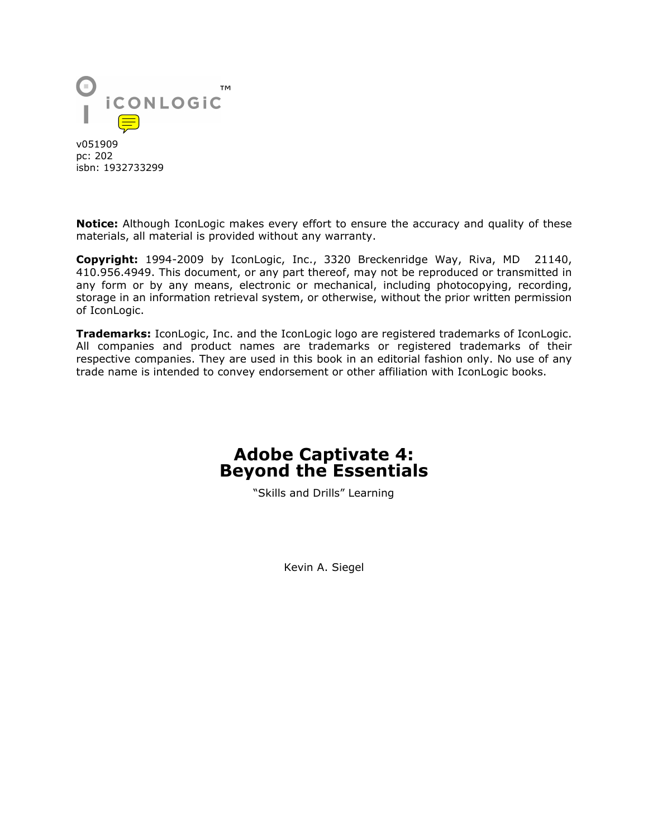

v051909 pc: 202 isbn: 1932733299

**Notice:** Although IconLogic makes every effort to ensure the accuracy and quality of these materials, all material is provided without any warranty.

**Copyright:** 1994-2009 by IconLogic, Inc., 3320 Breckenridge Way, Riva, MD 21140, 410.956.4949. This document, or any part thereof, may not be reproduced or transmitted in any form or by any means, electronic or mechanical, including photocopying, recording, storage in an information retrieval system, or otherwise, without the prior written permission of IconLogic.

**Trademarks:** IconLogic, Inc. and the IconLogic logo are registered trademarks of IconLogic. All companies and product names are trademarks or registered trademarks of their respective companies. They are used in this book in an editorial fashion only. No use of any trade name is intended to convey endorsement or other affiliation with IconLogic books.

### **Adobe Captivate 4: Beyond the Essentials**

"Skills and Drills" Learning

Kevin A. Siegel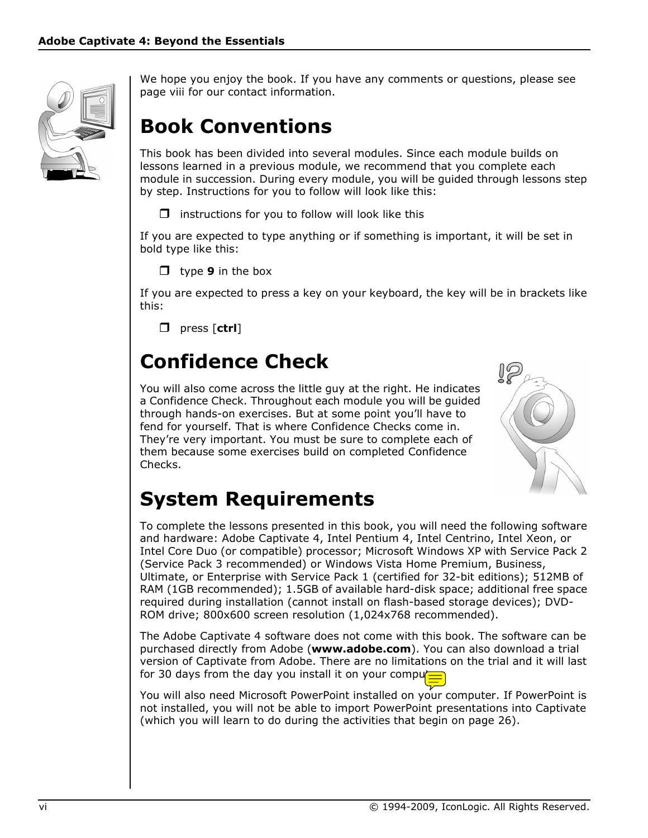

We hope you enjoy the book. If you have any comments or questions, please see page viii for our contact information.

# **Book Conventions**

This book has been divided into several modules. Since each module builds on lessons learned in a previous module, we recommend that you complete each module in succession. During every module, you will be guided through lessons step by step. Instructions for you to follow will look like this:

 $\Box$  instructions for you to follow will look like this

If you are expected to type anything or if something is important, it will be set in bold type like this:

**d** type **9** in the box

If you are expected to press a key on your keyboard, the key will be in brackets like this:

press [**ctrl**]

# **Confidence Check**

You will also come across the little guy at the right. He indicates a Confidence Check. Throughout each module you will be guided through hands-on exercises. But at some point you'll have to fend for yourself. That is where Confidence Checks come in. They're very important. You must be sure to complete each of them because some exercises build on completed Confidence Checks.



# **System Requirements**

To complete the lessons presented in this book, you will need the following software and hardware: Adobe Captivate 4, Intel Pentium 4, Intel Centrino, Intel Xeon, or Intel Core Duo (or compatible) processor; Microsoft Windows XP with Service Pack 2 (Service Pack 3 recommended) or Windows Vista Home Premium, Business, Ultimate, or Enterprise with Service Pack 1 (certified for 32-bit editions); 512MB of RAM (1GB recommended); 1.5GB of available hard-disk space; additional free space required during installation (cannot install on flash-based storage devices); DVD-ROM drive; 800x600 screen resolution (1,024x768 recommended).

The Adobe Captivate 4 software does not come with this book. The software can be purchased directly from Adobe (**www.adobe.com**). You can also download a trial version of Captivate from Adobe. There are no limitations on the trial and it will last for 30 days from the day you install it on your computer

You will also need Microsoft PowerPoint installed on your computer. If PowerPoint is not installed, you will not be able to import PowerPoint presentations into Captivate (which you will learn to do during the activities that begin on page 26).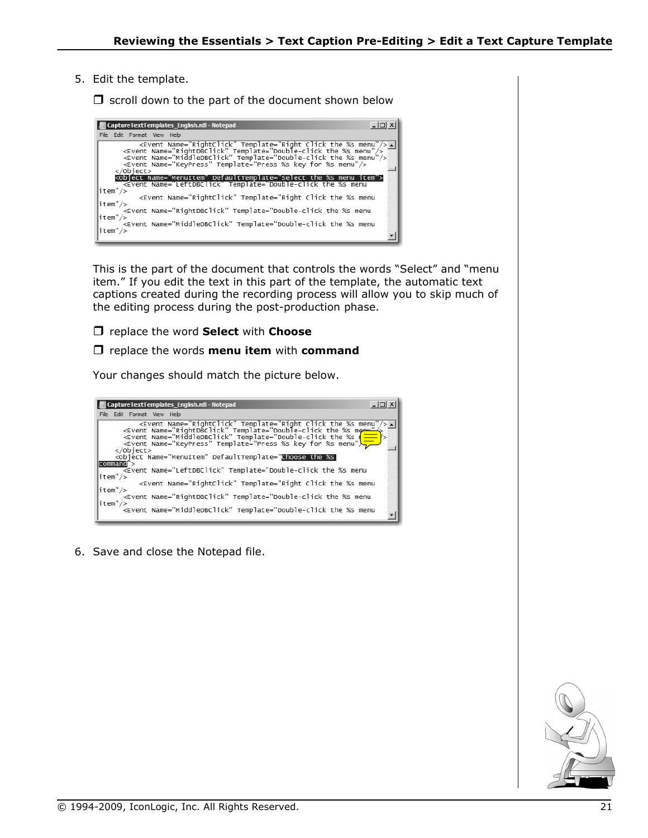5. Edit the template.

 $\Box$  scroll down to the part of the document shown below

| $ \Box$ $\times$<br>CaptureTextTemplates English.rdl - Notepad                                                                                                                                                                                                                                                                                        |
|-------------------------------------------------------------------------------------------------------------------------------------------------------------------------------------------------------------------------------------------------------------------------------------------------------------------------------------------------------|
| File Edit Format View Help                                                                                                                                                                                                                                                                                                                            |
| <event name="RightClick" template="Right Click the %s menu"></event>  <br><event name="RightDBClick" template="Double-click the %s menu"></event><br><event name="MiddleDBClick" template="Double-click the %s menu"></event><br><event name="MiddleDBClick" template="Double-click the %s menu"></event><br><event name="KeyPress" te<br=""></event> |
| <object defaulttemplate="Select the %s menu item" name="MenuItem"><br/><event name="LeftDBClick" template="Double-click the %s menu&lt;/td&gt;&lt;/tr&gt;&lt;tr&gt;&lt;td&gt;litem"></event><br/><event name="RightClick" template="Right Click the %s menu&lt;br&gt;litem"></event></object>                                                         |
| <event name="RightDBClick" template="Double-click the %s menu&lt;br&gt;litem"></event>                                                                                                                                                                                                                                                                |
| <event name="MiddleDBClick" template="Double-click the %s menu&lt;br&gt;litem"></event>                                                                                                                                                                                                                                                               |

This is the part of the document that controls the words "Select" and "menu item." If you edit the text in this part of the template, the automatic text captions created during the recording process will allow you to skip much of the editing process during the post-production phase.

replace the word **Select** with **Choose**

#### replace the words **menu item** with **command**

Your changes should match the picture below.

| $ \Box$ $\times$<br>CaptureTextTemplates_English.rdl - Notepad                                                                                                                                                                                                     |
|--------------------------------------------------------------------------------------------------------------------------------------------------------------------------------------------------------------------------------------------------------------------|
| File Edit Format View Help                                                                                                                                                                                                                                         |
| <event name="RightClick" template="Right Click the %s menu"></event><br>Alexant Name="RightDBClick" Template="Double-click the %s menu"/><br>Alexant Name="MiddleDBClick" Template="Double-click the %s<br>Alexant Name="KeyPress" Template="<br>$\langle$ Object> |
| <object defaulttemplate="Choose the %s&lt;br&gt; command" name="MenuItem"></object>                                                                                                                                                                                |
| <event <="" math="" name="LeftDBClick" template="Double-click the %s menu&lt;br&gt;&lt;math&gt; item"> /&gt;</event>                                                                                                                                               |
| <Event Name="RightClick" Template="Right Click the %s menu<br> $\text{item}''$ />                                                                                                                                                                                  |
| <Event Name="RightDBClick" Template="Double-click the %s menu<br> item''/>                                                                                                                                                                                         |
| <Event Name="MiddleDBClick" Template="Double-click the %s menu</td>                                                                                                                                                                                                |

6. Save and close the Notepad file.

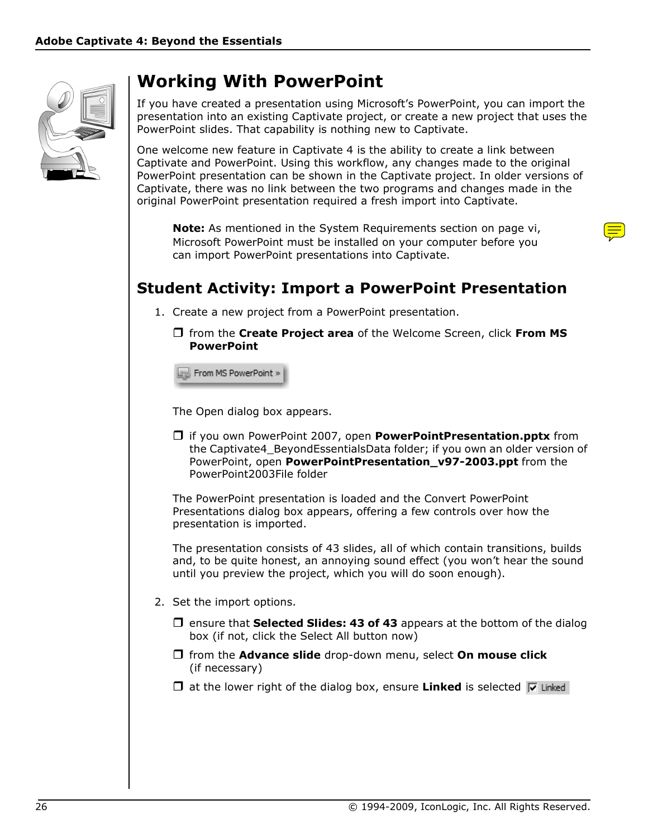

## **Working With PowerPoint**

If you have created a presentation using Microsoft's PowerPoint, you can import the presentation into an existing Captivate project, or create a new project that uses the PowerPoint slides. That capability is nothing new to Captivate.

One welcome new feature in Captivate 4 is the ability to create a link between Captivate and PowerPoint. Using this workflow, any changes made to the original PowerPoint presentation can be shown in the Captivate project. In older versions of Captivate, there was no link between the two programs and changes made in the original PowerPoint presentation required a fresh import into Captivate.

**Note:** As mentioned in the System Requirements section on page vi, Microsoft PowerPoint must be installed on your computer before you can import PowerPoint presentations into Captivate.

## **Student Activity: Import a PowerPoint Presentation**

- 1. Create a new project from a PowerPoint presentation.
	- from the **Create Project area** of the Welcome Screen, click **From MS PowerPoint**

From MS PowerPoint »

The Open dialog box appears.

 if you own PowerPoint 2007, open **PowerPointPresentation.pptx** from the Captivate4\_BeyondEssentialsData folder; if you own an older version of PowerPoint, open **PowerPointPresentation\_v97-2003.ppt** from the PowerPoint2003File folder

The PowerPoint presentation is loaded and the Convert PowerPoint Presentations dialog box appears, offering a few controls over how the presentation is imported.

The presentation consists of 43 slides, all of which contain transitions, builds and, to be quite honest, an annoying sound effect (you won't hear the sound until you preview the project, which you will do soon enough).

- 2. Set the import options.
	- $\Box$  ensure that **Selected Slides: 43 of 43** appears at the bottom of the dialog box (if not, click the Select All button now)
	- from the **Advance slide** drop-down menu, select **On mouse click** (if necessary)
	- $\Box$  at the lower right of the dialog box, ensure **Linked** is selected  $\triangledown$  Linked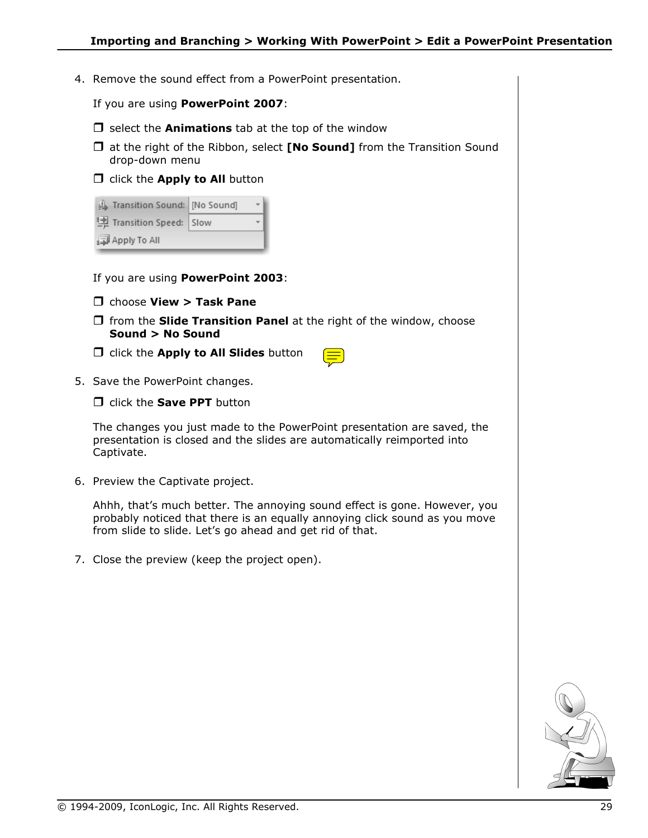4. Remove the sound effect from a PowerPoint presentation.

If you are using **PowerPoint 2007**:

- $\Box$  select the **Animations** tab at the top of the window
- at the right of the Ribbon, select **[No Sound]** from the Transition Sound drop-down menu
- **D** click the **Apply to All** button

| Stransition Sound: [No Sound] |  |
|-------------------------------|--|
| ! Transition Speed: Slow      |  |
| Apply To All                  |  |

If you are using **PowerPoint 2003**:

- choose **View > Task Pane**
- $\Box$  from the **Slide Transition Panel** at the right of the window, choose **Sound > No Sound**
- click the **Apply to All Slides** button
- 
- 5. Save the PowerPoint changes.
	- $\Box$  click the **Save PPT** button

The changes you just made to the PowerPoint presentation are saved, the presentation is closed and the slides are automatically reimported into Captivate.

6. Preview the Captivate project.

Ahhh, that's much better. The annoying sound effect is gone. However, you probably noticed that there is an equally annoying click sound as you move from slide to slide. Let's go ahead and get rid of that.

7. Close the preview (keep the project open).

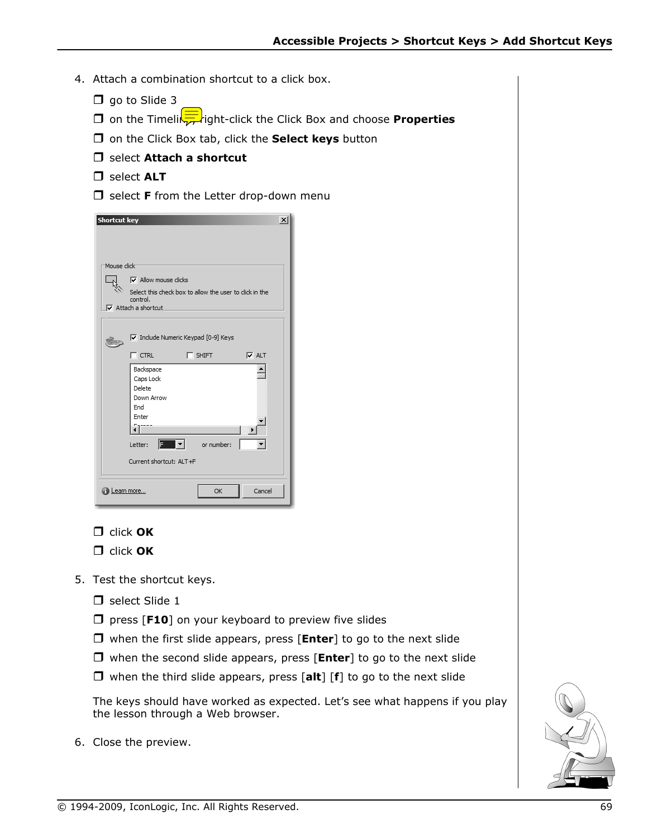- 4. Attach a combination shortcut to a click box.
	- $\Box$  go to Slide 3
	- **D** on the Timeling right-click the Click Box and choose **Properties**
	- on the Click Box tab, click the **Select keys** button
	- select **Attach a shortcut**
	- select **ALT**
	- $\Box$  select **F** from the Letter drop-down menu



- click **OK**
- click **OK**
- 5. Test the shortcut keys.
	- $\Box$  select Slide 1
	- **D** press [F10] on your keyboard to preview five slides
	- □ when the first slide appears, press [**Enter**] to go to the next slide
	- when the second slide appears, press [**Enter**] to go to the next slide
	- when the third slide appears, press [**alt**] [**f**] to go to the next slide

The keys should have worked as expected. Let's see what happens if you play the lesson through a Web browser.

6. Close the preview.

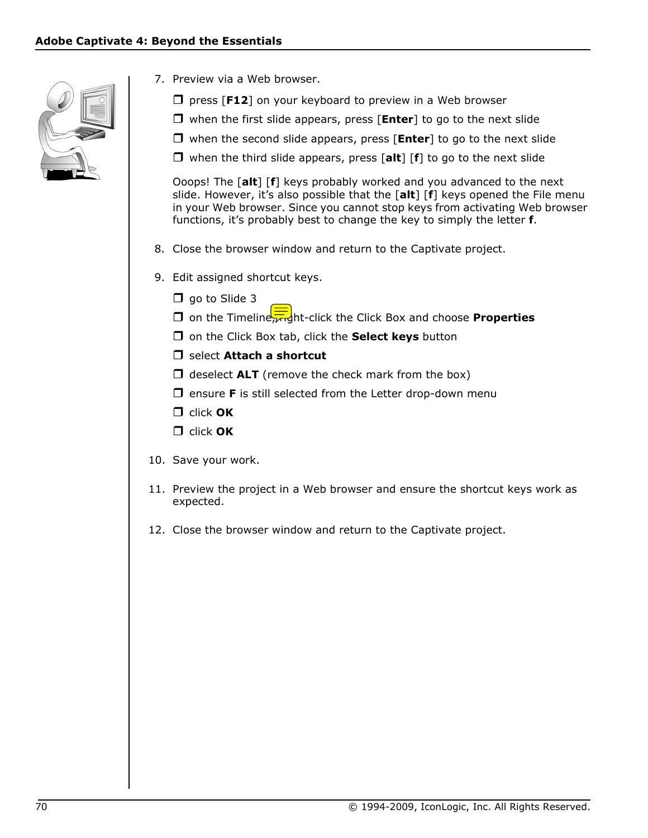

- 7. Preview via a Web browser.
	- $\Box$  press [**F12**] on your keyboard to preview in a Web browser
	- □ when the first slide appears, press [**Enter**] to go to the next slide
	- when the second slide appears, press [**Enter**] to go to the next slide
	- when the third slide appears, press [**alt**] [**f**] to go to the next slide

Ooops! The [**alt**] [**f**] keys probably worked and you advanced to the next slide. However, it's also possible that the [**alt**] [**f**] keys opened the File menu in your Web browser. Since you cannot stop keys from activating Web browser functions, it's probably best to change the key to simply the letter **f**.

- 8. Close the browser window and return to the Captivate project.
- 9. Edit assigned shortcut keys.
	- $\Box$  go to Slide 3
	- **D** on the Timeline  $\frac{1}{\sqrt{10}}$ ht-click the Click Box and choose **Properties**
	- □ on the Click Box tab, click the **Select keys** button
	- $\Box$  select **Attach a shortcut**
	- $\Box$  deselect **ALT** (remove the check mark from the box)
	- $\Box$  ensure **F** is still selected from the Letter drop-down menu
	- click **OK**
	- click **OK**
- 10. Save your work.
- 11. Preview the project in a Web browser and ensure the shortcut keys work as expected.
- 12. Close the browser window and return to the Captivate project.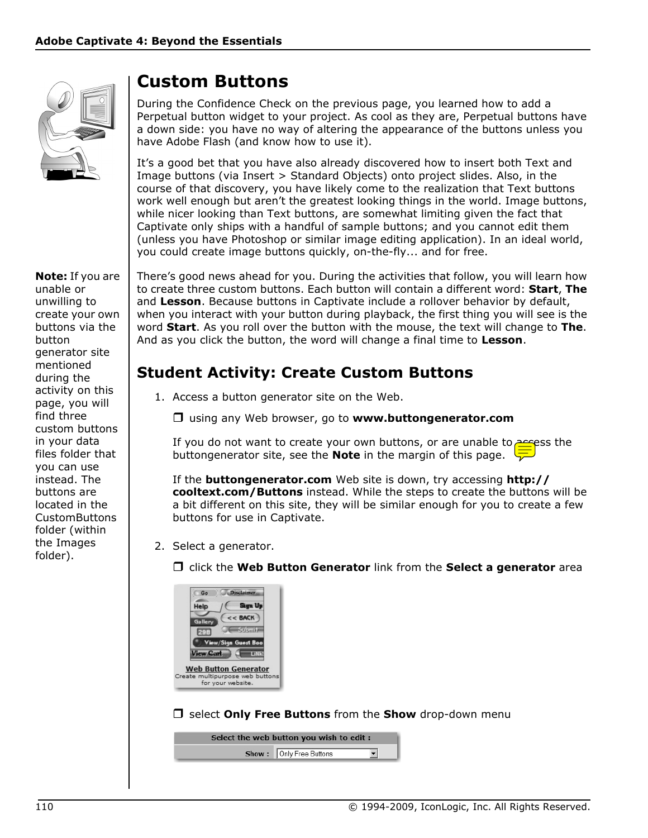

#### **Note:** If you are unable or unwilling to create your own buttons via the button generator site mentioned during the activity on this page, you will find three custom buttons in your data files folder that you can use instead. The buttons are located in the CustomButtons folder (within the Images folder).

## **Custom Buttons**

During the Confidence Check on the previous page, you learned how to add a Perpetual button widget to your project. As cool as they are, Perpetual buttons have a down side: you have no way of altering the appearance of the buttons unless you have Adobe Flash (and know how to use it).

It's a good bet that you have also already discovered how to insert both Text and Image buttons (via Insert > Standard Objects) onto project slides. Also, in the course of that discovery, you have likely come to the realization that Text buttons work well enough but aren't the greatest looking things in the world. Image buttons, while nicer looking than Text buttons, are somewhat limiting given the fact that Captivate only ships with a handful of sample buttons; and you cannot edit them (unless you have Photoshop or similar image editing application). In an ideal world, you could create image buttons quickly, on-the-fly... and for free.

There's good news ahead for you. During the activities that follow, you will learn how to create three custom buttons. Each button will contain a different word: **Start**, **The** and **Lesson**. Because buttons in Captivate include a rollover behavior by default, when you interact with your button during playback, the first thing you will see is the word **Start**. As you roll over the button with the mouse, the text will change to **The**. And as you click the button, the word will change a final time to **Lesson**.

## **Student Activity: Create Custom Buttons**

- 1. Access a button generator site on the Web.
	- using any Web browser, go to **www.buttongenerator.com**

If you do not want to create your own buttons, or are unable to  $\frac{\text{arc}}{\text{arc}}$ ess the buttongenerator site, see the **Note** in the margin of this page.

If the **buttongenerator.com** Web site is down, try accessing **http:// cooltext.com/Buttons** instead. While the steps to create the buttons will be a bit different on this site, they will be similar enough for you to create a few buttons for use in Captivate.

- 2. Select a generator.
	- click the **Web Button Generator** link from the **Select a generator** area



select **Only Free Buttons** from the **Show** drop-down menu

| Select the web button you wish to edit: |  |
|-----------------------------------------|--|
| Show: Only Free Buttons                 |  |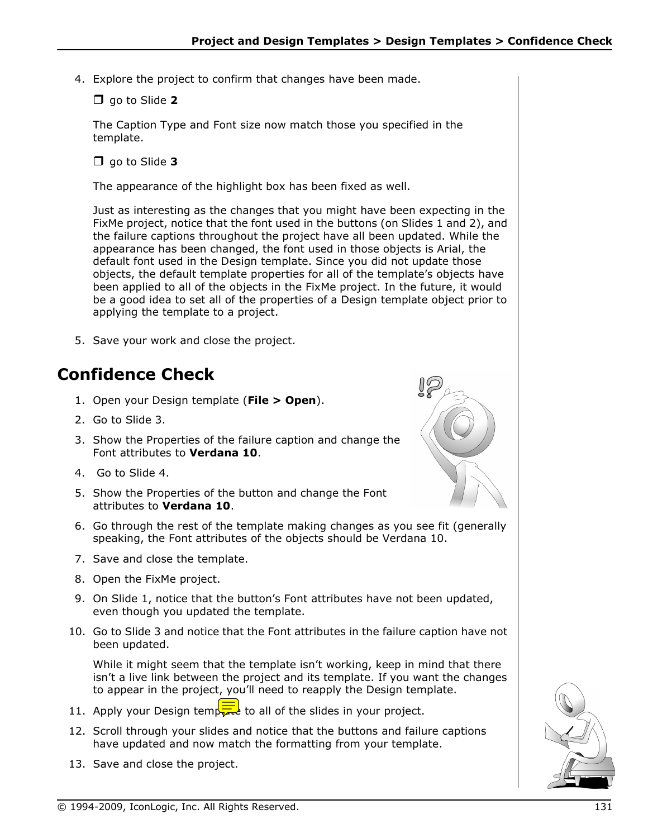4. Explore the project to confirm that changes have been made.

### go to Slide **2**

The Caption Type and Font size now match those you specified in the template.

go to Slide **3**

The appearance of the highlight box has been fixed as well.

Just as interesting as the changes that you might have been expecting in the FixMe project, notice that the font used in the buttons (on Slides 1 and 2), and the failure captions throughout the project have all been updated. While the appearance has been changed, the font used in those objects is Arial, the default font used in the Design template. Since you did not update those objects, the default template properties for all of the template's objects have been applied to all of the objects in the FixMe project. In the future, it would be a good idea to set all of the properties of a Design template object prior to applying the template to a project.

5. Save your work and close the project.

## **Confidence Check**

- 1. Open your Design template (**File > Open**).
- 2. Go to Slide 3.
- 3. Show the Properties of the failure caption and change the Font attributes to **Verdana 10**.
- 4. Go to Slide 4.
- 5. Show the Properties of the button and change the Font attributes to **Verdana 10**.
- 6. Go through the rest of the template making changes as you see fit (generally speaking, the Font attributes of the objects should be Verdana 10.
- 7. Save and close the template.
- 8. Open the FixMe project.
- 9. On Slide 1, notice that the button's Font attributes have not been updated, even though you updated the template.
- 10. Go to Slide 3 and notice that the Font attributes in the failure caption have not been updated.

While it might seem that the template isn't working, keep in mind that there isn't a live link between the project and its template. If you want the changes to appear in the project, you'll need to reapply the Design template.

- 11. Apply your Design temporal to all of the slides in your project.
- 12. Scroll through your slides and notice that the buttons and failure captions have updated and now match the formatting from your template.
- 13. Save and close the project.



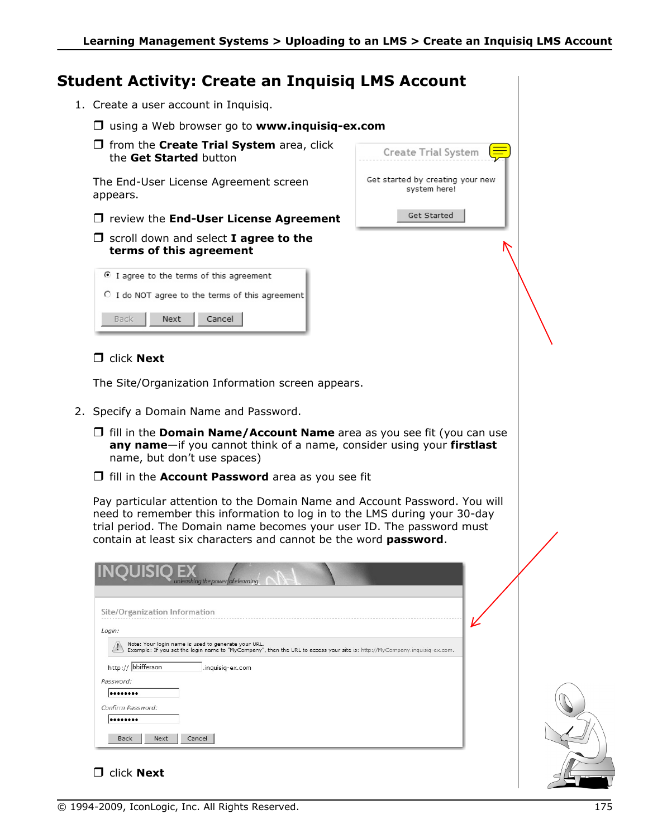**Create Trial System** 

Get started by creating your new system here!

Get Started

### **Student Activity: Create an Inquisiq LMS Account**

- 1. Create a user account in Inquisiq.
	- using a Web browser go to **www.inquisiq-ex.com**
	- $\Box$  from the **Create Trial System** area, click the **Get Started** button

The End-User License Agreement screen appears.

- $\Box$  review the **End-User License Agreement**
- $\Box$  scroll down and select **I agree to the terms of this agreement**

| I agree to the terms of this agreement |                                                       |
|----------------------------------------|-------------------------------------------------------|
|                                        | $\circ$ I do NOT agree to the terms of this agreement |
| Back                                   | Next Cancel                                           |

### **D** click **Next**

The Site/Organization Information screen appears.

- 2. Specify a Domain Name and Password.
	- $\Box$  fill in the **Domain Name/Account Name** area as you see fit (you can use **any name**—if you cannot think of a name, consider using your **firstlast** name, but don't use spaces)
	- fill in the **Account Password** area as you see fit

Pay particular attention to the Domain Name and Account Password. You will need to remember this information to log in to the LMS during your 30-day trial period. The Domain name becomes your user ID. The password must contain at least six characters and cannot be the word **password**.

| <b>INQUISIQ EX</b>            | unleashing the power of elearning                                                                                                                                                |
|-------------------------------|----------------------------------------------------------------------------------------------------------------------------------------------------------------------------------|
| Site/Organization Information |                                                                                                                                                                                  |
| Login:                        |                                                                                                                                                                                  |
|                               | Note: Your login name is used to generate your URL.<br>Example: If you set the login name to "MyCompany", then the URL to access your site is: http://MyCompany.inquisiq-ex.com. |
| http:// bbifferson            | .inquisiq-ex.com                                                                                                                                                                 |
| Password:                     |                                                                                                                                                                                  |
|                               |                                                                                                                                                                                  |
| Confirm Password:             |                                                                                                                                                                                  |
|                               |                                                                                                                                                                                  |
| <b>Back</b><br>Next           | Cancel                                                                                                                                                                           |



### **D** click **Next**